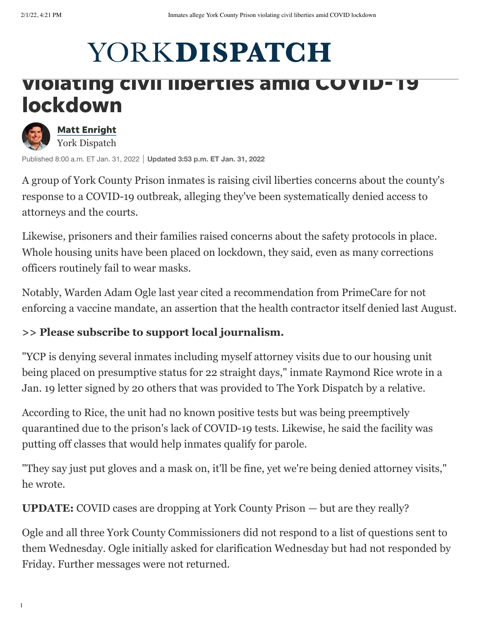# YORKDISPATCH

## violating civil liberties amid COVID-19 lockdown



Published 8:00 a.m. ET Jan. 31, 2022 **Updated 3:53 p.m. ET Jan. 31, 2022**

A group of York County Prison inmates is raising civil liberties concerns about the county's response to a COVID-19 outbreak, alleging they've been systematically denied access to attorneys and the courts.

Likewise, prisoners and their families raised concerns about the safety protocols in place. Whole housing units have been placed on lockdown, they said, even as many corrections officers routinely fail to wear masks.

Notably, Warden Adam Ogle last year cited a recommendation from PrimeCare for not enforcing a vaccine mandate, an assertion that the health contractor itself denied last August.

#### **[>> Please subscribe to support local journalism.](https://cm.yorkdispatch.com/offer?gps-source=CPMASTHEAD&itm_campaign=2021WINTER&itm_medium=ONSITE&onSuccessRedirectURL=https%3A%2F%2Fwww.yorkdispatch.com%2F&itm_content=CPMASTHEAD)**

"YCP is denying several inmates including myself attorney visits due to our housing unit being placed on presumptive status for 22 straight days," inmate Raymond Rice wrote in a Jan. 19 letter signed by 20 others that was provided to The York Dispatch by a relative.

According to Rice, the unit had no known positive tests but was being preemptively quarantined due to the prison's lack of COVID-19 tests. Likewise, he said the facility was putting off classes that would help inmates qualify for parole.

"They say just put gloves and a mask on, it'll be fine, yet we're being denied attorney visits," he wrote.

**UPDATE:** [COVID cases are dropping at York County Prison — but are they really?](https://www.yorkdispatch.com/story/news/local/2022/01/31/covid-cases-dropping-york-county-prison-but-they-really/9287196002/)

Ogle and all three York County Commissioners did not respond to a list of questions sent to them Wednesday. Ogle initially asked for clarification Wednesday but had not responded by Friday. Further messages were not returned.

https://www.yorkdispatch.com/story/news/local/2022/01/31/inmates-allege-york-county-prison-violating-covid-local/2022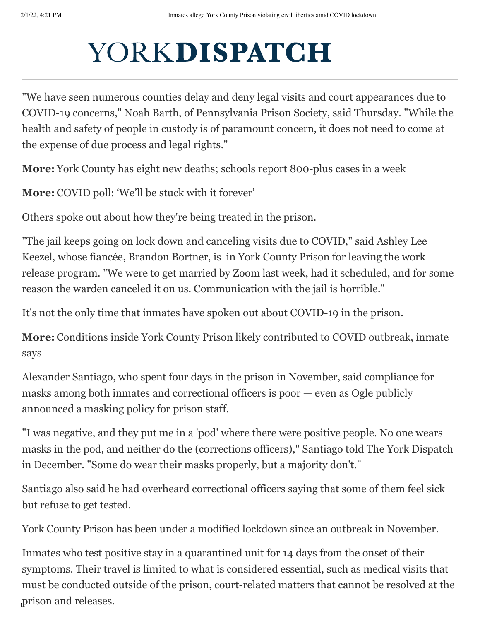### $\mathbf{X}^T$  and  $\mathbf{X}^T$  at the prior  $\mathbf{X}$  in the prior  $\mathbf{X}$  in the prior  $\mathbf{X}$  $N$  is the delays at the delays at the delays at the delays at the delays at the delays at the difficulty of the difficulty of the difficulty of the difficulty of the difficulty of the difficulty of the difficulty of the d

"We have seen numerous counties delay and deny legal visits and court appearances due to COVID-19 concerns," Noah Barth, of Pennsylvania Prison Society, said Thursday. "While the health and safety of people in custody is of paramount concern, it does not need to come at the expense of due process and legal rights."

**More:** [York County has eight new deaths; schools report 800-plus cases in a week](https://www.yorkdispatch.com/story/news/2022/01/28/federal-strike-team-extends-its-stay-at-york-hospital-through-the-beginning-of-march/9255327002/)

**More:** [COVID poll: 'We'll be stuck with it forever'](https://www.yorkdispatch.com/story/news/2022/01/27/covid-poll-stuck-forever/49729697/)

Others spoke out about how they're being treated in the prison.

"The jail keeps going on lock down and canceling visits due to COVID," said Ashley Lee Keezel, whose fiancée, Brandon Bortner, is in York County Prison for leaving the work release program. "We were to get married by Zoom last week, had it scheduled, and for some reason the warden canceled it on us. Communication with the jail is horrible."

It's not the only time that inmates have spoken out about COVID-19 in the prison.

**More:** [Conditions inside York County Prison likely contributed to COVID outbreak, inmate](https://www.yorkdispatch.com/story/news/local/2021/12/02/conditions-inside-york-county-prison-likely-contributed-covid-outbreak-inmate-says/8837932002/) says

Alexander Santiago, who spent four days in the prison in November, said compliance for masks among both inmates and correctional officers is poor — even as Ogle publicly announced a masking policy for prison staff.

"I was negative, and they put me in a 'pod' where there were positive people. No one wears masks in the pod, and neither do the (corrections officers)," Santiago told The York Dispatch in December. "Some do wear their masks properly, but a majority don't."

Santiago also said he had overheard correctional officers saying that some of them feel sick but refuse to get tested.

York County Prison has been under a modified lockdown since an outbreak in November.

 $h<sub>1</sub>$ indispatch.com/story/news/local/2022/01/31/inmates-allege-york-connection-violating-covid-local/  $\frac{1}{2}$ Inmates who test positive stay in a quarantined unit for 14 days from the onset of their symptoms. Their travel is limited to what is considered essential, such as medical visits that must be conducted outside of the prison, court-related matters that cannot be resolved at the prison and releases.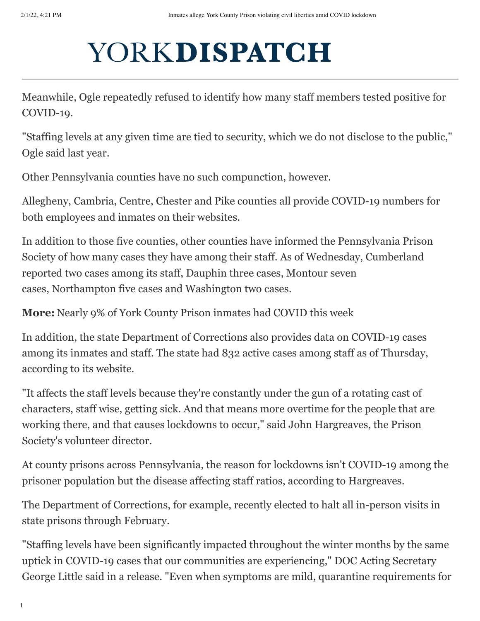#### $\mathbf{X} \mathcal{I} \cap \mathbf{D}$  is the prior  $\mathbf{A}$  prison in  $\mathbf{A}$ allegations — it the drop was due to a dealer if the drop was due to a dealer in  $\mathbf{u}$

Meanwhile, Ogle repeatedly refused to identify how many staff members tested positive for COVID-19.

"Staffing levels at any given time are tied to security, which we do not disclose to the public," Ogle said last year.

Other Pennsylvania counties have no such compunction, however.

Allegheny, Cambria, Centre, Chester and Pike counties all provide COVID-19 numbers for both employees and inmates on their websites.

In addition to those five counties, other counties have informed the Pennsylvania Prison Society of how many cases they have among their staff. As of Wednesday, Cumberland reported two cases among its staff, Dauphin three cases, Montour seven cases, Northampton five cases and Washington two cases.

**More:** [Nearly 9% of York County Prison inmates had COVID this week](https://www.yorkdispatch.com/story/news/local/2022/01/20/more-than-100-york-county-prison-inmates-have-covid-week/6595772001/)

In addition, the state Department of Corrections also provides data on COVID-19 cases among its inmates and staff. The state had 832 active cases among staff as of Thursday, according to [its website.](https://www.cor.pa.gov/Pages/COVID-19.aspx)

"It affects the staff levels because they're constantly under the gun of a rotating cast of characters, staff wise, getting sick. And that means more overtime for the people that are working there, and that causes lockdowns to occur," said John Hargreaves, the Prison Society's volunteer director.

At county prisons across Pennsylvania, the reason for lockdowns isn't COVID-19 among the prisoner population but the disease affecting staff ratios, according to Hargreaves.

The Department of Corrections, for example, recently elected to halt all in-person visits in state prisons through February.

"Staffing levels have been significantly impacted throughout the winter months by the same uptick in COVID-19 cases that our communities are experiencing," DOC Acting Secretary George Little said in a release. "Even when symptoms are mild, quarantine requirements for